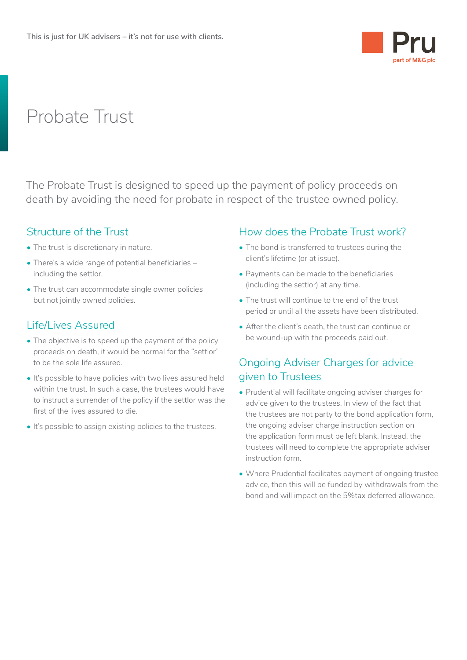

# Probate Trust

The Probate Trust is designed to speed up the payment of policy proceeds on death by avoiding the need for probate in respect of the trustee owned policy.

## Structure of the Trust

- The trust is discretionary in nature.
- There's a wide range of potential beneficiaries including the settlor.
- The trust can accommodate single owner policies but not jointly owned policies.

# Life/Lives Assured

- The objective is to speed up the payment of the policy proceeds on death, it would be normal for the "settlor" to be the sole life assured.
- It's possible to have policies with two lives assured held within the trust. In such a case, the trustees would have to instruct a surrender of the policy if the settlor was the first of the lives assured to die.
- It's possible to assign existing policies to the trustees.

## How does the Probate Trust work?

- The bond is transferred to trustees during the client's lifetime (or at issue).
- Payments can be made to the beneficiaries (including the settlor) at any time.
- The trust will continue to the end of the trust period or until all the assets have been distributed.
- After the client's death, the trust can continue or be wound-up with the proceeds paid out.

# Ongoing Adviser Charges for advice given to Trustees

- Prudential will facilitate ongoing adviser charges for advice given to the trustees. In view of the fact that the trustees are not party to the bond application form, the ongoing adviser charge instruction section on the application form must be left blank. Instead, the trustees will need to complete the appropriate adviser instruction form.
- Where Prudential facilitates payment of ongoing trustee advice, then this will be funded by withdrawals from the bond and will impact on the 5%tax deferred allowance.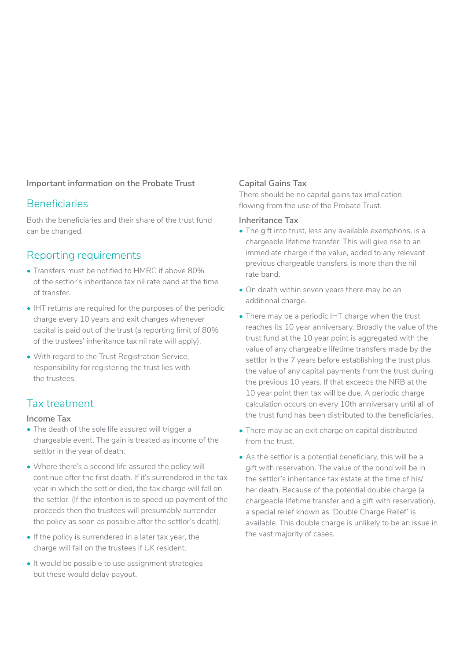## **Important information on the Probate Trust**

## Beneficiaries

Both the beneficiaries and their share of the trust fund can be changed.

## Reporting requirements

- Transfers must be notified to HMRC if above 80% of the settlor's inheritance tax nil rate band at the time of transfer.
- IHT returns are required for the purposes of the periodic charge every 10 years and exit charges whenever capital is paid out of the trust (a reporting limit of 80% of the trustees' inheritance tax nil rate will apply).
- With regard to the Trust Registration Service. responsibility for registering the trust lies with the trustees.

## Tax treatment

## **Income Tax**

- The death of the sole life assured will trigger a chargeable event. The gain is treated as income of the settlor in the year of death.
- Where there's a second life assured the policy will continue after the first death. If it's surrendered in the tax year in which the settlor died, the tax charge will fall on the settlor. (If the intention is to speed up payment of the proceeds then the trustees will presumably surrender the policy as soon as possible after the settlor's death).
- If the policy is surrendered in a later tax year, the charge will fall on the trustees if UK resident.
- It would be possible to use assignment strategies but these would delay payout.

## **Capital Gains Tax**

There should be no capital gains tax implication flowing from the use of the Probate Trust.

## **Inheritance Tax**

- The gift into trust, less any available exemptions, is a chargeable lifetime transfer. This will give rise to an immediate charge if the value, added to any relevant previous chargeable transfers, is more than the nil rate band.
- On death within seven years there may be an additional charge.
- There may be a periodic IHT charge when the trust reaches its 10 year anniversary. Broadly the value of the trust fund at the 10 year point is aggregated with the value of any chargeable lifetime transfers made by the settlor in the 7 years before establishing the trust plus the value of any capital payments from the trust during the previous 10 years. If that exceeds the NRB at the 10 year point then tax will be due. A periodic charge calculation occurs on every 10th anniversary until all of the trust fund has been distributed to the beneficiaries.
- There may be an exit charge on capital distributed from the trust.
- As the settlor is a potential beneficiary, this will be a gift with reservation. The value of the bond will be in the settlor's inheritance tax estate at the time of his/ her death. Because of the potential double charge (a chargeable lifetime transfer and a gift with reservation), a special relief known as 'Double Charge Relief' is available. This double charge is unlikely to be an issue in the vast majority of cases.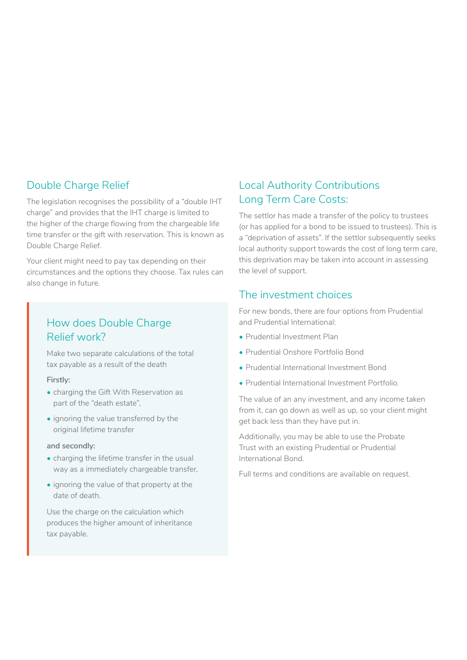# Double Charge Relief

The legislation recognises the possibility of a "double IHT charge" and provides that the IHT charge is limited to the higher of the charge flowing from the chargeable life time transfer or the gift with reservation. This is known as Double Charge Relief.

Your client might need to pay tax depending on their circumstances and the options they choose. Tax rules can also change in future.

# How does Double Charge Relief work?

Make two separate calculations of the total tax payable as a result of the death

## **Firstly:**

- charging the Gift With Reservation as part of the "death estate",
- ignoring the value transferred by the original lifetime transfer

#### **and secondly:**

- charging the lifetime transfer in the usual way as a immediately chargeable transfer,
- ignoring the value of that property at the date of death.

Use the charge on the calculation which produces the higher amount of inheritance tax payable.

# Local Authority Contributions Long Term Care Costs:

The settlor has made a transfer of the policy to trustees (or has applied for a bond to be issued to trustees). This is a "deprivation of assets". If the settlor subsequently seeks local authority support towards the cost of long term care, this deprivation may be taken into account in assessing the level of support.

## The investment choices

For new bonds, there are four options from Prudential and Prudential International:

- Prudential Investment Plan
- Prudential Onshore Portfolio Bond
- Prudential International Investment Bond
- Prudential International Investment Portfolio.

The value of an any investment, and any income taken from it, can go down as well as up, so your client might get back less than they have put in.

Additionally, you may be able to use the Probate Trust with an existing Prudential or Prudential International Bond.

Full terms and conditions are available on request.